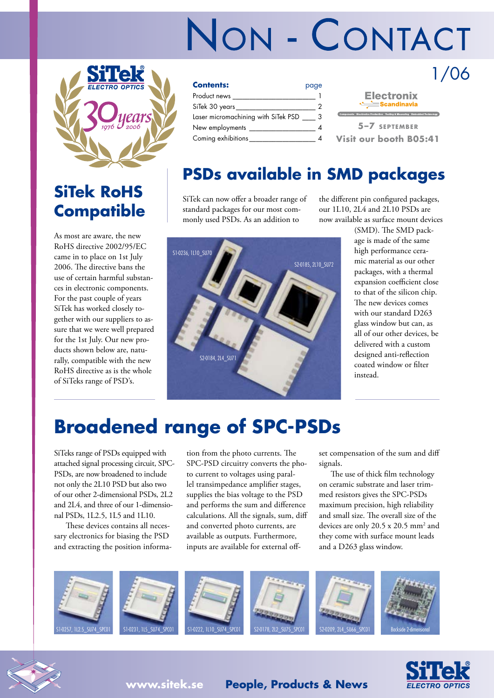# NON - CONTACT



### **SiTek RoHS Compatible**

As most are aware, the new RoHS directive 2002/95/EC came in to place on 1st July 2006. The directive bans the use of certain harmful substances in electronic components. For the past couple of years SiTek has worked closely together with our suppliers to assure that we were well prepared for the 1st July. Our new products shown below are, naturally, compatible with the new RoHS directive as is the whole of SiTeks range of PSD's.

| <b>Contents:</b>                    | page |
|-------------------------------------|------|
| Product news _                      |      |
| SiTek 30 years___________           |      |
| Laser micromachining with SiTek PSD |      |
| New employments                     |      |
| Coming exhibitions                  |      |

| <b>Electronix</b><br>Scandinavia |  |               |                                                                           |  |
|----------------------------------|--|---------------|---------------------------------------------------------------------------|--|
|                                  |  |               | Components Electronics Production Testing & Measuring Embedded Technology |  |
|                                  |  | 5-7 SEPTEMBER |                                                                           |  |
|                                  |  |               | Visit our booth B05:41                                                    |  |

1/06

#### **PSDs available in SMD packages**

SiTek can now offer a broader range of standard packages for our most commonly used PSDs. As an addition to



the different pin configured packages, our 1L10, 2L4 and 2L10 PSDs are now available as surface mount devices

> (SMD). The SMD package is made of the same high performance ceramic material as our other packages, with a thermal expansion coefficient close to that of the silicon chip. The new devices comes with our standard D263 glass window but can, as all of our other devices, be delivered with a custom designed anti-reflection coated window or filter instead.

## **Broadened range of SPC-PSDs**

SiTeks range of PSDs equipped with attached signal processing circuit, SPC-PSDs, are now broadened to include not only the 2L10 PSD but also two of our other 2-dimensional PSDs, 2L2 and 2L4, and three of our 1-dimensional PSDs, 1L2.5, 1L5 and 1L10.

These devices contains all necessary electronics for biasing the PSD and extracting the position informa-

tion from the photo currents. The SPC-PSD circuitry converts the photo current to voltages using parallel transimpedance amplifier stages, supplies the bias voltage to the PSD and performs the sum and difference calculations. All the signals, sum, diff and converted photo currents, are available as outputs. Furthermore, inputs are available for external offset compensation of the sum and diff signals.

The use of thick film technology on ceramic substrate and laser trimmed resistors gives the SPC-PSDs maximum precision, high reliability and small size. The overall size of the devices are only 20.5 x 20.5 mm2 and they come with surface mount leads and a D263 glass window.







**www.sitek.se People, Products & News**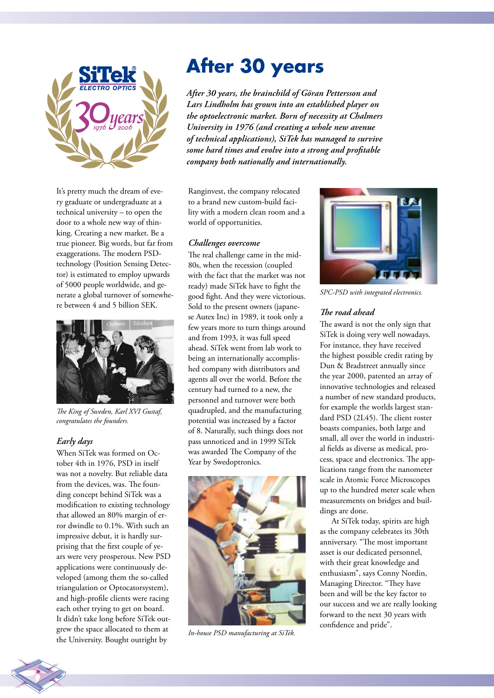

It's pretty much the dream of every graduate or undergraduate at a technical university – to open the door to a whole new way of thinking. Creating a new market. Be a true pioneer. Big words, but far from exaggerations. The modern PSDtechnology (Position Sensing Detector) is estimated to employ upwards of 5000 people worldwide, and generate a global turnover of somewhere between 4 and 5 billion SEK.



*The King of Sweden, Karl XVI Gustaf, congratulates the founders.*

#### *Early days*

When SiTek was formed on October 4th in 1976, PSD in itself was not a novelty. But reliable data from the devices, was. The founding concept behind SiTek was a modification to existing technology that allowed an 80% margin of error dwindle to 0.1%. With such an impressive debut, it is hardly surprising that the first couple of years were very prosperous. New PSD applications were continuously developed (among them the so-called triangulation or Optocatorsystem), and high-profile clients were racing each other trying to get on board. It didn't take long before SiTek outgrew the space allocated to them at the University. Bought outright by

## **After 30 years**

*After 30 years, the brainchild of Göran Pettersson and Lars Lindholm has grown into an established player on the optoelectronic market. Born of necessity at Chalmers University in 1976 (and creating a whole new avenue of technical applications), SiTek has managed to survive some hard times and evolve into a strong and profitable company both nationally and internationally.*

Ranginvest, the company relocated to a brand new custom-build facility with a modern clean room and a world of opportunities.

#### *Challenges overcome*

The real challenge came in the mid-80s, when the recession (coupled with the fact that the market was not ready) made SiTek have to fight the good fight. And they were victorious. Sold to the present owners (japanese Autex Inc) in 1989, it took only a few years more to turn things around and from 1993, it was full speed ahead. SiTek went from lab work to being an internationally accomplished company with distributors and agents all over the world. Before the century had turned to a new, the personnel and turnover were both quadrupled, and the manufacturing potential was increased by a factor of 8. Naturally, such things does not pass unnoticed and in 1999 SiTek was awarded The Company of the Year by Swedoptronics.



*In-house PSD manufacturing at SiTek.*



*SPC-PSD with integrated electronics.*

#### *The road ahead*

The award is not the only sign that SiTek is doing very well nowadays. For instance, they have received the highest possible credit rating by Dun & Bradstreet annually since the year 2000, patented an array of innovative technologies and released a number of new standard products, for example the worlds largest standard PSD (2L45). The client roster boasts companies, both large and small, all over the world in industrial fields as diverse as medical, process, space and electronics. The applications range from the nanometer scale in Atomic Force Microscopes up to the hundred meter scale when measurements on bridges and buildings are done.

At SiTek today, spirits are high as the company celebrates its 30th anniversary. "The most important asset is our dedicated personnel, with their great knowledge and enthusiasm", says Conny Nordin, Managing Director. "They have been and will be the key factor to our success and we are really looking forward to the next 30 years with confidence and pride".

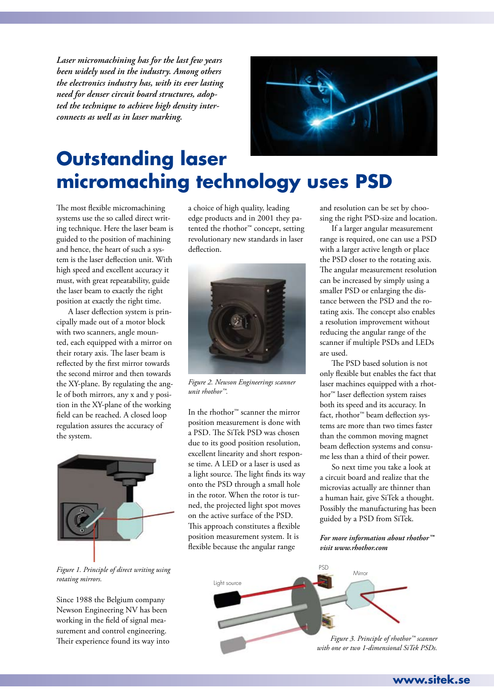*Laser micromachining has for the last few years been widely used in the industry. Among others the electronics industry has, with its ever lasting need for denser circuit board structures, adopted the technique to achieve high density interconnects as well as in laser marking.*



### **Outstanding laser micromaching technology uses PSD**

The most flexible micromachining systems use the so called direct writing technique. Here the laser beam is guided to the position of machining and hence, the heart of such a system is the laser deflection unit. With high speed and excellent accuracy it must, with great repeatability, guide the laser beam to exactly the right position at exactly the right time.

A laser deflection system is principally made out of a motor block with two scanners, angle mounted, each equipped with a mirror on their rotary axis. The laser beam is reflected by the first mirror towards the second mirror and then towards the XY-plane. By regulating the angle of both mirrors, any x and y position in the XY-plane of the working field can be reached. A closed loop regulation assures the accuracy of the system.



*Figure 1. Principle of direct writing using rotating mirrors.*

Since 1988 the Belgium company Newson Engineering NV has been working in the field of signal measurement and control engineering. Their experience found its way into a choice of high quality, leading edge products and in 2001 they patented the rhothor™ concept, setting revolutionary new standards in laser deflection.



*Figure 2. Newson Engineerings scanner unit rhothor™.*

In the rhothor™ scanner the mirror position measurement is done with a PSD. The SiTek PSD was chosen due to its good position resolution, excellent linearity and short response time. A LED or a laser is used as a light source. The light finds its way onto the PSD through a small hole in the rotor. When the rotor is turned, the projected light spot moves on the active surface of the PSD. This approach constitutes a flexible position measurement system. It is flexible because the angular range

and resolution can be set by choosing the right PSD-size and location.

If a larger angular measurement range is required, one can use a PSD with a larger active length or place the PSD closer to the rotating axis. The angular measurement resolution can be increased by simply using a smaller PSD or enlarging the distance between the PSD and the rotating axis. The concept also enables a resolution improvement without reducing the angular range of the scanner if multiple PSDs and LEDs are used.

The PSD based solution is not only flexible but enables the fact that laser machines equipped with a rhothor™ laser deflection system raises both its speed and its accuracy. In fact, rhothor™ beam deflection systems are more than two times faster than the common moving magnet beam deflection systems and consume less than a third of their power.

So next time you take a look at a circuit board and realize that the microvias actually are thinner than a human hair, give SiTek a thought. Possibly the manufacturing has been guided by a PSD from SiTek.

*For more information about rhothor™ visit www.rhothor.com*